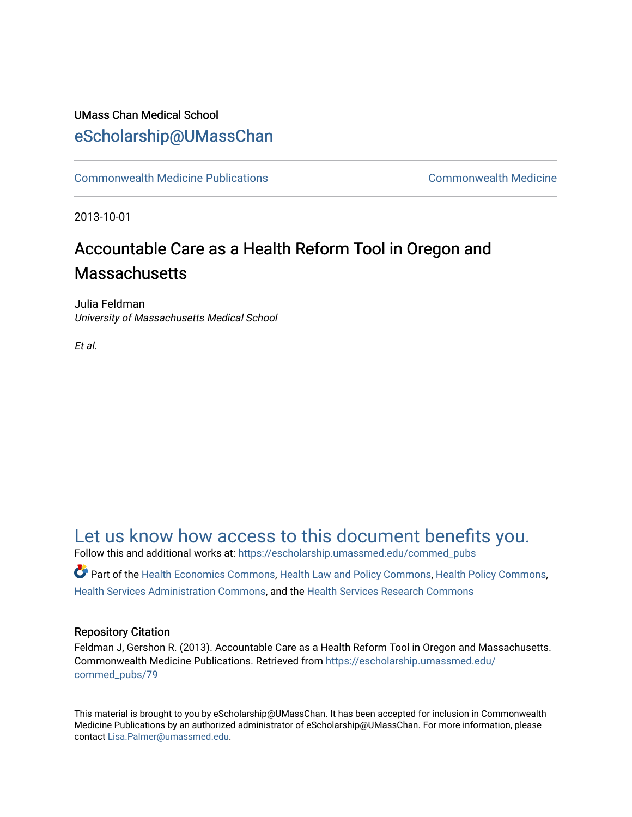### UMass Chan Medical School [eScholarship@UMassChan](https://escholarship.umassmed.edu/)

[Commonwealth Medicine Publications](https://escholarship.umassmed.edu/commed_pubs) [Commonwealth Medicine](https://escholarship.umassmed.edu/commed) 

2013-10-01

## Accountable Care as a Health Reform Tool in Oregon and **Massachusetts**

Julia Feldman University of Massachusetts Medical School

Et al.

## [Let us know how access to this document benefits you.](https://arcsapps.umassmed.edu/redcap/surveys/?s=XWRHNF9EJE)

Follow this and additional works at: [https://escholarship.umassmed.edu/commed\\_pubs](https://escholarship.umassmed.edu/commed_pubs?utm_source=escholarship.umassmed.edu%2Fcommed_pubs%2F79&utm_medium=PDF&utm_campaign=PDFCoverPages)

Part of the [Health Economics Commons,](http://network.bepress.com/hgg/discipline/1085?utm_source=escholarship.umassmed.edu%2Fcommed_pubs%2F79&utm_medium=PDF&utm_campaign=PDFCoverPages) [Health Law and Policy Commons,](http://network.bepress.com/hgg/discipline/901?utm_source=escholarship.umassmed.edu%2Fcommed_pubs%2F79&utm_medium=PDF&utm_campaign=PDFCoverPages) [Health Policy Commons](http://network.bepress.com/hgg/discipline/395?utm_source=escholarship.umassmed.edu%2Fcommed_pubs%2F79&utm_medium=PDF&utm_campaign=PDFCoverPages), [Health Services Administration Commons,](http://network.bepress.com/hgg/discipline/747?utm_source=escholarship.umassmed.edu%2Fcommed_pubs%2F79&utm_medium=PDF&utm_campaign=PDFCoverPages) and the [Health Services Research Commons](http://network.bepress.com/hgg/discipline/816?utm_source=escholarship.umassmed.edu%2Fcommed_pubs%2F79&utm_medium=PDF&utm_campaign=PDFCoverPages)

#### Repository Citation

Feldman J, Gershon R. (2013). Accountable Care as a Health Reform Tool in Oregon and Massachusetts. Commonwealth Medicine Publications. Retrieved from [https://escholarship.umassmed.edu/](https://escholarship.umassmed.edu/commed_pubs/79?utm_source=escholarship.umassmed.edu%2Fcommed_pubs%2F79&utm_medium=PDF&utm_campaign=PDFCoverPages) [commed\\_pubs/79](https://escholarship.umassmed.edu/commed_pubs/79?utm_source=escholarship.umassmed.edu%2Fcommed_pubs%2F79&utm_medium=PDF&utm_campaign=PDFCoverPages)

This material is brought to you by eScholarship@UMassChan. It has been accepted for inclusion in Commonwealth Medicine Publications by an authorized administrator of eScholarship@UMassChan. For more information, please contact [Lisa.Palmer@umassmed.edu.](mailto:Lisa.Palmer@umassmed.edu)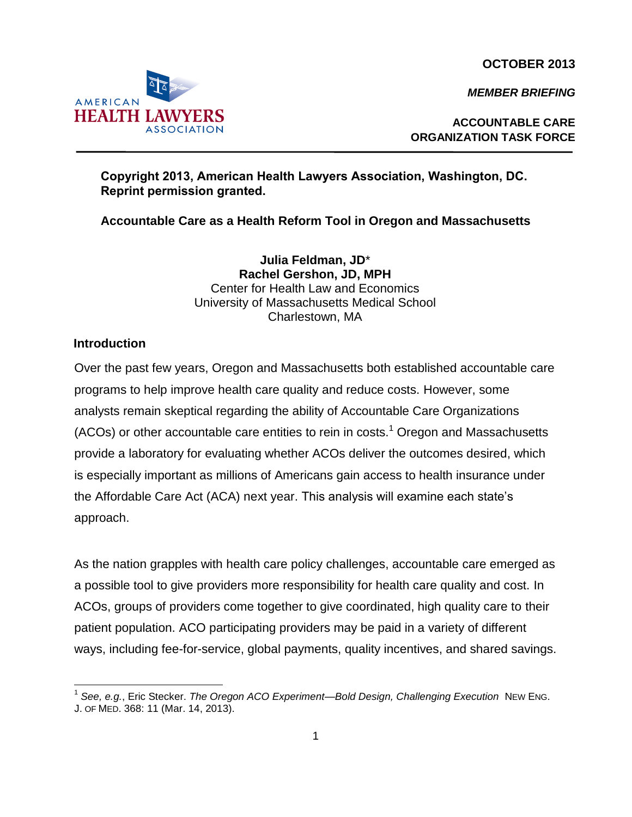**OCTOBER 2013**

*MEMBER BRIEFING*



# **Copyright 2013, American Health Lawyers Association, Washington, DC.**

**Accountable Care as a Health Reform Tool in Oregon and Massachusetts** 

**Julia Feldman, JD**\* **Rachel Gershon, JD, MPH**  Center for Health Law and Economics University of Massachusetts Medical School Charlestown, MA

#### **Introduction**

Over the past few years, Oregon and Massachusetts both established accountable care programs to help improve health care quality and reduce costs. However, some analysts remain skeptical regarding the ability of Accountable Care Organizations (ACOs) or other accountable care entities to rein in costs. $1$  Oregon and Massachusetts provide a laboratory for evaluating whether ACOs deliver the outcomes desired, which is especially important as millions of Americans gain access to health insurance under the Affordable Care Act (ACA) next year. This analysis will examine each state's approach.

As the nation grapples with health care policy challenges, accountable care emerged as a possible tool to give providers more responsibility for health care quality and cost. In ACOs, groups of providers come together to give coordinated, high quality care to their patient population. ACO participating providers may be paid in a variety of different ways, including fee-for-service, global payments, quality incentives, and shared savings.



**Reprint permission granted.**

<sup>1</sup> *See, e.g.*, Eric Stecker. *The Oregon ACO Experiment—Bold Design, Challenging Execution* NEW ENG. J. OF MED. 368: 11 (Mar. 14, 2013).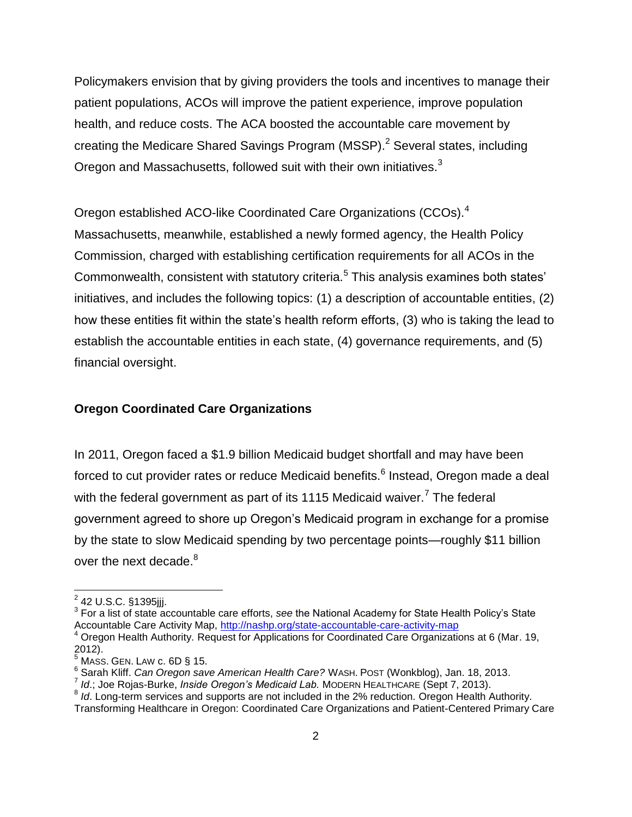Policymakers envision that by giving providers the tools and incentives to manage their patient populations, ACOs will improve the patient experience, improve population health, and reduce costs. The ACA boosted the accountable care movement by creating the Medicare Shared Savings Program (MSSP).<sup>2</sup> Several states, including Oregon and Massachusetts, followed suit with their own initiatives.<sup>3</sup>

Oregon established ACO-like Coordinated Care Organizations (CCOs).<sup>4</sup> Massachusetts, meanwhile, established a newly formed agency, the Health Policy Commission, charged with establishing certification requirements for all ACOs in the Commonwealth, consistent with statutory criteria.<sup>5</sup> This analysis examines both states' initiatives, and includes the following topics: (1) a description of accountable entities, (2) how these entities fit within the state's health reform efforts, (3) who is taking the lead to establish the accountable entities in each state, (4) governance requirements, and (5) financial oversight.

#### **Oregon Coordinated Care Organizations**

In 2011, Oregon faced a \$1.9 billion Medicaid budget shortfall and may have been forced to cut provider rates or reduce Medicaid benefits.<sup>6</sup> Instead, Oregon made a deal with the federal government as part of its 1115 Medicaid waiver.<sup>7</sup> The federal government agreed to shore up Oregon's Medicaid program in exchange for a promise by the state to slow Medicaid spending by two percentage points—roughly \$11 billion over the next decade.<sup>8</sup>

<sup>&</sup>lt;u>.</u><br>2 42 U.S.C. §1395jjj.

<sup>3</sup> For a list of state accountable care efforts, *see* the National Academy for State Health Policy's State Accountable Care Activity Map,<http://nashp.org/state-accountable-care-activity-map>

<sup>4</sup> Oregon Health Authority. Request for Applications for Coordinated Care Organizations at 6 (Mar. 19, 2012).

 $^5$  Mass. Gen. Law c. 6D § 15.

<sup>6</sup> Sarah Kliff. *Can Oregon save American Health Care?* WASH. POST (Wonkblog), Jan. 18, 2013.

<sup>7</sup> *Id*.; Joe Rojas-Burke, *Inside Oregon's Medicaid Lab.* MODERN HEALTHCARE (Sept 7, 2013).

<sup>&</sup>lt;sup>8</sup> Id. Long-term services and supports are not included in the 2% reduction. Oregon Health Authority. Transforming Healthcare in Oregon: Coordinated Care Organizations and Patient-Centered Primary Care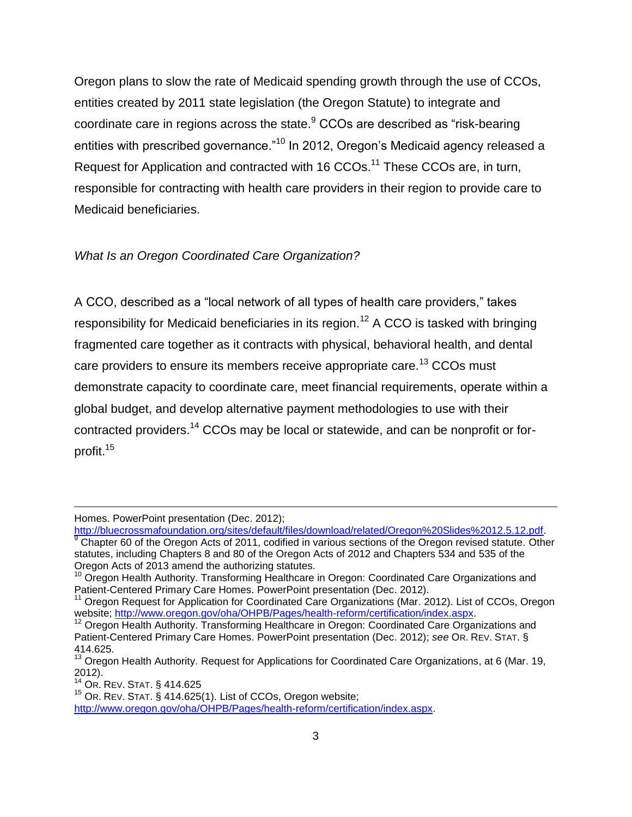Oregon plans to slow the rate of Medicaid spending growth through the use of CCOs, entities created by 2011 state legislation (the Oregon Statute) to integrate and coordinate care in regions across the state.<sup>9</sup> CCOs are described as "risk-bearing entities with prescribed governance."<sup>10</sup> In 2012, Oregon's Medicaid agency released a Request for Application and contracted with 16 CCOs.<sup>11</sup> These CCOs are, in turn, responsible for contracting with health care providers in their region to provide care to Medicaid beneficiaries.

#### *What Is an Oregon Coordinated Care Organization?*

A CCO, described as a "local network of all types of health care providers," takes responsibility for Medicaid beneficiaries in its region.<sup>12</sup> A CCO is tasked with bringing fragmented care together as it contracts with physical, behavioral health, and dental care providers to ensure its members receive appropriate care.<sup>13</sup> CCOs must demonstrate capacity to coordinate care, meet financial requirements, operate within a global budget, and develop alternative payment methodologies to use with their contracted providers.<sup>14</sup> CCOs may be local or statewide, and can be nonprofit or forprofit.<sup>15</sup>

Homes. PowerPoint presentation (Dec. 2012);

[http://bluecrossmafoundation.org/sites/default/files/download/related/Oregon%20Slides%2012.5.12.pdf.](http://bluecrossmafoundation.org/sites/default/files/download/related/Oregon%20Slides%2012.5.12.pdf)  $9$  Chapter 60 of the Oregon Acts of 2011, codified in various sections of the Oregon revised statute. Other statutes, including Chapters 8 and 80 of the Oregon Acts of 2012 and Chapters 534 and 535 of the Oregon Acts of 2013 amend the authorizing statutes.

<sup>&</sup>lt;sup>10</sup> Oregon Health Authority. Transforming Healthcare in Oregon: Coordinated Care Organizations and Patient-Centered Primary Care Homes. PowerPoint presentation (Dec. 2012).

<sup>&</sup>lt;sup>11</sup> Oregon Request for Application for Coordinated Care Organizations (Mar. 2012). List of CCOs, Oregon website; [http://www.oregon.gov/oha/OHPB/Pages/health-reform/certification/index.aspx.](http://www.oregon.gov/oha/OHPB/Pages/health-reform/certification/index.aspx)

<sup>&</sup>lt;sup>12</sup> Oregon Health Authority. Transforming Healthcare in Oregon: Coordinated Care Organizations and Patient-Centered Primary Care Homes. PowerPoint presentation (Dec. 2012); *see* OR. REV. STAT. § 414.625.

 $13$  Oregon Health Authority. Request for Applications for Coordinated Care Organizations, at 6 (Mar. 19, 2012).

<sup>14</sup> OR. REV. STAT. § 414.625

 $15$  Or. REV. STAT.  $\check{S}$  414.625(1). List of CCOs, Oregon website;

[http://www.oregon.gov/oha/OHPB/Pages/health-reform/certification/index.aspx.](http://www.oregon.gov/oha/OHPB/Pages/health-reform/certification/index.aspx)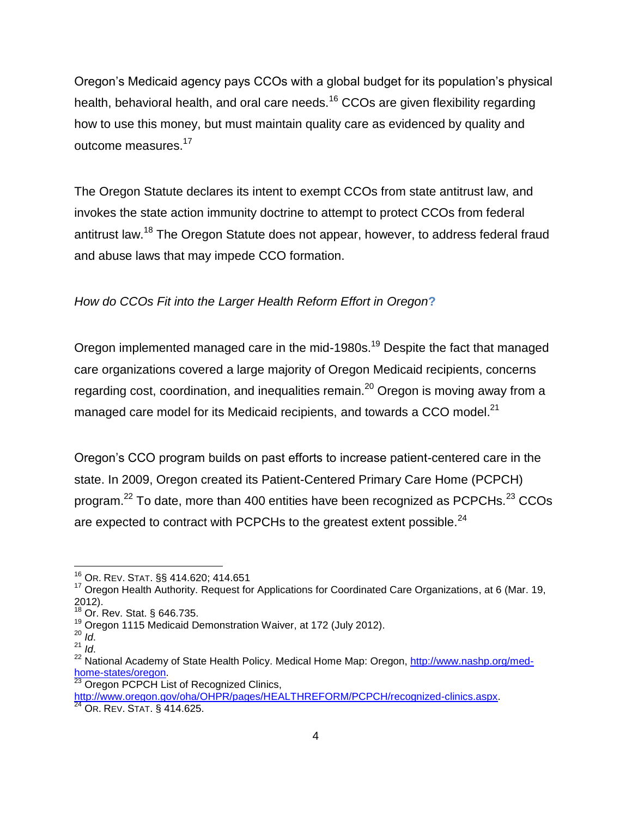Oregon's Medicaid agency pays CCOs with a global budget for its population's physical health, behavioral health, and oral care needs.<sup>16</sup> CCOs are given flexibility regarding how to use this money, but must maintain quality care as evidenced by quality and outcome measures.<sup>17</sup>

The Oregon Statute declares its intent to exempt CCOs from state antitrust law, and invokes the state action immunity doctrine to attempt to protect CCOs from federal antitrust law.<sup>18</sup> The Oregon Statute does not appear, however, to address federal fraud and abuse laws that may impede CCO formation.

#### *How do CCOs Fit into the Larger Health Reform Effort in Oregon***?**

Oregon implemented managed care in the mid-1980s.<sup>19</sup> Despite the fact that managed care organizations covered a large majority of Oregon Medicaid recipients, concerns regarding cost, coordination, and inequalities remain.<sup>20</sup> Oregon is moving away from a managed care model for its Medicaid recipients, and towards a CCO model. $^{21}$ 

Oregon's CCO program builds on past efforts to increase patient-centered care in the state. In 2009, Oregon created its Patient-Centered Primary Care Home (PCPCH) program.<sup>22</sup> To date, more than 400 entities have been recognized as PCPCHs.<sup>23</sup> CCOs are expected to contract with PCPCHs to the greatest extent possible.<sup>24</sup>

 $\overline{\phantom{a}}$ 

<sup>16</sup> OR. REV. STAT. §§ 414.620; 414.651

<sup>&</sup>lt;sup>17</sup> Oregon Health Authority. Request for Applications for Coordinated Care Organizations, at 6 (Mar. 19, 2012).

<sup>&</sup>lt;sup>18</sup> Or. Rev. Stat. § 646.735.

<sup>19</sup> Oregon 1115 Medicaid Demonstration Waiver, at 172 (July 2012).

 $^{20}$   $\overline{Id}$ .

 $^{21}$   $\frac{10}{10}$ .

<sup>&</sup>lt;sup>22</sup> National Academy of State Health Policy. Medical Home Map: Oregon, [http://www.nashp.org/med](http://www.nashp.org/med-home-states/oregon)[home-states/oregon.](http://www.nashp.org/med-home-states/oregon)

<sup>&</sup>lt;sup>23</sup> Oregon PCPCH List of Recognized Clinics,

[http://www.oregon.gov/oha/OHPR/pages/HEALTHREFORM/PCPCH/recognized-clinics.aspx.](http://www.oregon.gov/oha/OHPR/pages/HEALTHREFORM/PCPCH/recognized-clinics.aspx)

<sup>&</sup>lt;sup>24</sup> OR. REV. STAT. § 414.625.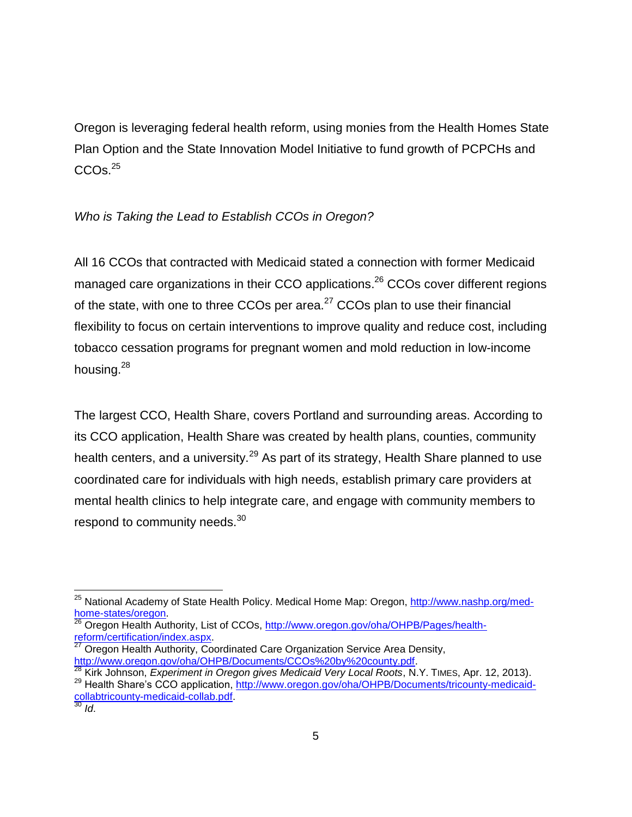Oregon is leveraging federal health reform, using monies from the Health Homes State Plan Option and the State Innovation Model Initiative to fund growth of PCPCHs and  $CCOS.<sup>25</sup>$ 

#### *Who is Taking the Lead to Establish CCOs in Oregon?*

All 16 CCOs that contracted with Medicaid stated a connection with former Medicaid managed care organizations in their CCO applications.<sup>26</sup> CCOs cover different regions of the state, with one to three CCOs per area.<sup>27</sup> CCOs plan to use their financial flexibility to focus on certain interventions to improve quality and reduce cost, including tobacco cessation programs for pregnant women and mold reduction in low-income housing.<sup>28</sup>

The largest CCO, Health Share, covers Portland and surrounding areas. According to its CCO application, Health Share was created by health plans, counties, community health centers, and a university.<sup>29</sup> As part of its strategy, Health Share planned to use coordinated care for individuals with high needs, establish primary care providers at mental health clinics to help integrate care, and engage with community members to respond to community needs.<sup>30</sup>

 $\overline{a}$ 

<sup>&</sup>lt;sup>25</sup> National Academy of State Health Policy. Medical Home Map: Oregon, [http://www.nashp.org/med](http://www.nashp.org/med-home-states/oregon)[home-states/oregon.](http://www.nashp.org/med-home-states/oregon)

<sup>26</sup> Oregon Health Authority, List of CCOs, [http://www.oregon.gov/oha/OHPB/Pages/health](http://www.oregon.gov/oha/OHPB/Pages/health-reform/certification/index.aspx)[reform/certification/index.aspx.](http://www.oregon.gov/oha/OHPB/Pages/health-reform/certification/index.aspx)

 $27$  Oregon Health Authority, Coordinated Care Organization Service Area Density, [http://www.oregon.gov/oha/OHPB/Documents/CCOs%20by%20county.pdf.](http://www.oregon.gov/oha/OHPB/Documents/CCOs%20by%20county.pdf)

<sup>28</sup> Kirk Johnson, *Experiment in Oregon gives Medicaid Very Local Roots*, N.Y. TIMES, Apr. 12, 2013).

<sup>&</sup>lt;sup>29</sup> Health Share's CCO application, [http://www.oregon.gov/oha/OHPB/Documents/tricounty-medicaid](http://www.oregon.gov/oha/OHPB/Documents/tricounty-medicaid-collabtricounty-medicaid-collab.pdf)[collabtricounty-medicaid-collab.pdf.](http://www.oregon.gov/oha/OHPB/Documents/tricounty-medicaid-collabtricounty-medicaid-collab.pdf)

<sup>30</sup> *Id*.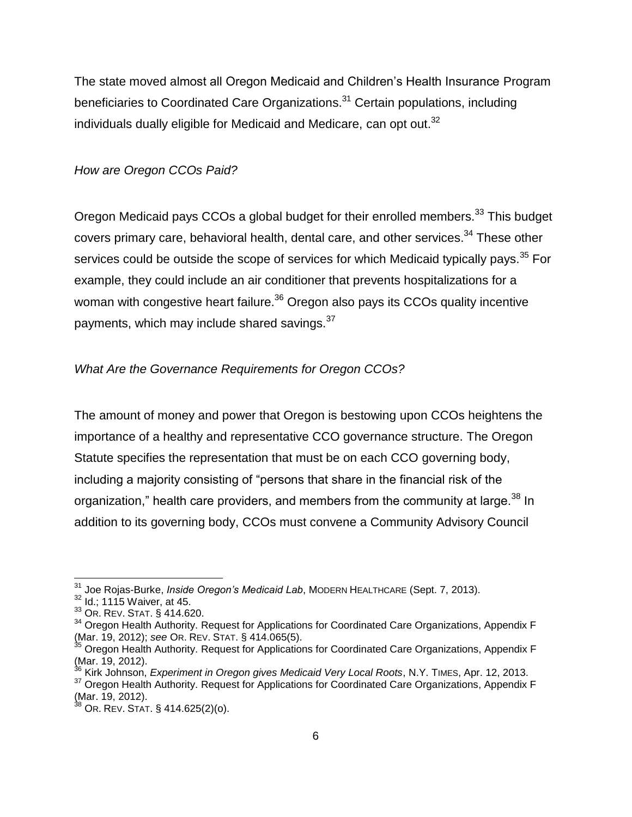The state moved almost all Oregon Medicaid and Children's Health Insurance Program beneficiaries to Coordinated Care Organizations.<sup>31</sup> Certain populations, including individuals dually eligible for Medicaid and Medicare, can opt out. $^{32}$ 

#### *How are Oregon CCOs Paid?*

Oregon Medicaid pays CCOs a global budget for their enrolled members.<sup>33</sup> This budget covers primary care, behavioral health, dental care, and other services.<sup>34</sup> These other services could be outside the scope of services for which Medicaid typically pays.<sup>35</sup> For example, they could include an air conditioner that prevents hospitalizations for a woman with congestive heart failure.<sup>36</sup> Oregon also pays its CCOs quality incentive payments, which may include shared savings.<sup>37</sup>

#### *What Are the Governance Requirements for Oregon CCOs?*

The amount of money and power that Oregon is bestowing upon CCOs heightens the importance of a healthy and representative CCO governance structure. The Oregon Statute specifies the representation that must be on each CCO governing body, including a majority consisting of "persons that share in the financial risk of the organization," health care providers, and members from the community at large.<sup>38</sup> In addition to its governing body, CCOs must convene a Community Advisory Council

<sup>&</sup>lt;sup>31</sup> Joe Rojas-Burke, *Inside Oregon's Medicaid Lab*, MODERN HEALTHCARE (Sept. 7, 2013).

<sup>32</sup> Id.; 1115 Waiver, at 45.

<sup>33</sup> OR. REV. STAT. § 414.620.

<sup>&</sup>lt;sup>34</sup> Oregon Health Authority. Request for Applications for Coordinated Care Organizations, Appendix F (Mar. 19, 2012); *see* OR. REV. STAT. § 414.065(5).

<sup>&</sup>lt;sup>35</sup> Oregon Health Authority. Request for Applications for Coordinated Care Organizations, Appendix F  $(Mar. 19, 2012)$ .

<sup>36</sup> Kirk Johnson, *Experiment in Oregon gives Medicaid Very Local Roots*, N.Y. TIMES, Apr. 12, 2013.

<sup>&</sup>lt;sup>37</sup> Oregon Health Authority. Request for Applications for Coordinated Care Organizations, Appendix F (Mar. 19, 2012).

 $^{38}$  Or. Rev. Stat. § 414.625(2)(o).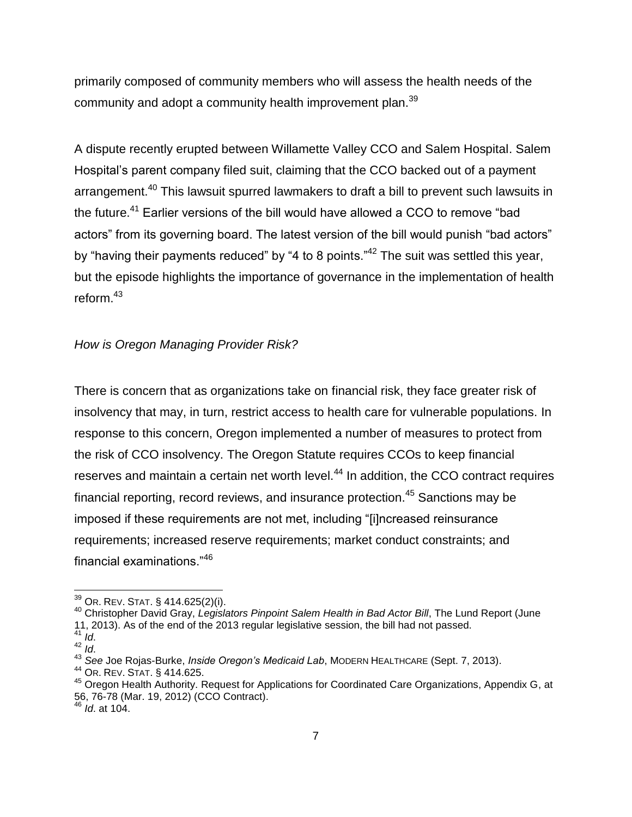primarily composed of community members who will assess the health needs of the community and adopt a community health improvement plan.<sup>39</sup>

A dispute recently erupted between Willamette Valley CCO and Salem Hospital. Salem Hospital's parent company filed suit, claiming that the CCO backed out of a payment arrangement.<sup>40</sup> This lawsuit spurred lawmakers to draft a bill to prevent such lawsuits in the future.<sup>41</sup> Earlier versions of the bill would have allowed a CCO to remove "bad actors" from its governing board. The latest version of the bill would punish "bad actors" by "having their payments reduced" by "4 to 8 points."<sup>42</sup> The suit was settled this year, but the episode highlights the importance of governance in the implementation of health reform.<sup>43</sup>

#### *How is Oregon Managing Provider Risk?*

There is concern that as organizations take on financial risk, they face greater risk of insolvency that may, in turn, restrict access to health care for vulnerable populations. In response to this concern, Oregon implemented a number of measures to protect from the risk of CCO insolvency. The Oregon Statute requires CCOs to keep financial reserves and maintain a certain net worth level.<sup>44</sup> In addition, the CCO contract requires financial reporting, record reviews, and insurance protection.<sup>45</sup> Sanctions may be imposed if these requirements are not met, including "[i]ncreased reinsurance requirements; increased reserve requirements; market conduct constraints; and financial examinations."<sup>46</sup>

 $\overline{a}$ 

 $39$  Or. Rev. Stat. § 414.625(2)(i).

<sup>40</sup> Christopher David Gray, *Legislators Pinpoint Salem Health in Bad Actor Bill*, The Lund Report (June 11, 2013). As of the end of the 2013 regular legislative session, the bill had not passed.

<sup>41</sup> *Id*.

<sup>42</sup> *Id*.

<sup>43</sup> *See* Joe Rojas-Burke, *Inside Oregon's Medicaid Lab*, MODERN HEALTHCARE (Sept. 7, 2013).

<sup>44</sup> OR. REV. STAT. § 414.625.

<sup>&</sup>lt;sup>45</sup> Oregon Health Authority. Request for Applications for Coordinated Care Organizations, Appendix G, at 56, 76-78 (Mar. 19, 2012) (CCO Contract).

<sup>46</sup> *Id*. at 104.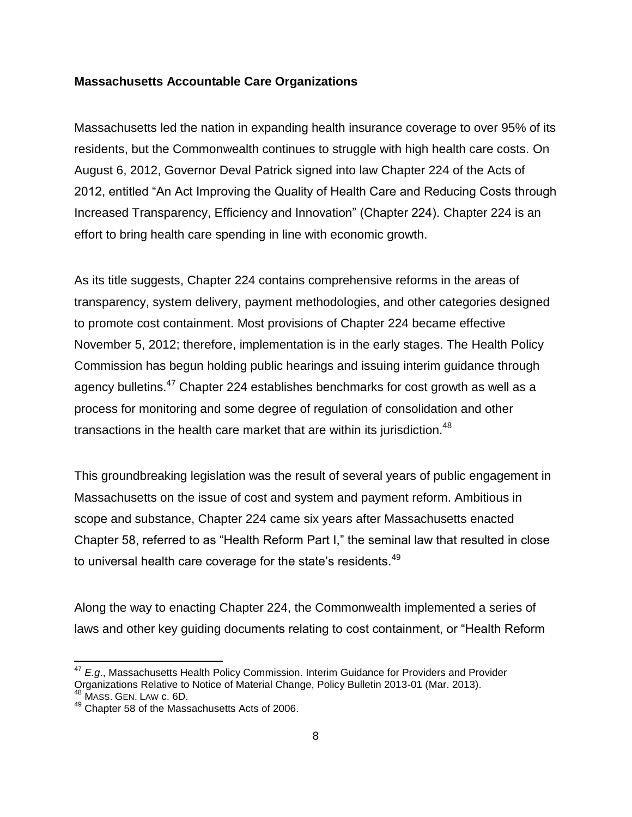#### **Massachusetts Accountable Care Organizations**

Massachusetts led the nation in expanding health insurance coverage to over 95% of its residents, but the Commonwealth continues to struggle with high health care costs. On August 6, 2012, Governor Deval Patrick signed into law Chapter 224 of the Acts of 2012, entitled "An Act Improving the Quality of Health Care and Reducing Costs through Increased Transparency, Efficiency and Innovation" (Chapter 224). Chapter 224 is an effort to bring health care spending in line with economic growth.

As its title suggests, Chapter 224 contains comprehensive reforms in the areas of transparency, system delivery, payment methodologies, and other categories designed to promote cost containment. Most provisions of Chapter 224 became effective November 5, 2012; therefore, implementation is in the early stages. The Health Policy Commission has begun holding public hearings and issuing interim guidance through agency bulletins.<sup>47</sup> Chapter 224 establishes benchmarks for cost growth as well as a process for monitoring and some degree of regulation of consolidation and other transactions in the health care market that are within its jurisdiction.<sup>48</sup>

This groundbreaking legislation was the result of several years of public engagement in Massachusetts on the issue of cost and system and payment reform. Ambitious in scope and substance, Chapter 224 came six years after Massachusetts enacted Chapter 58, referred to as "Health Reform Part I," the seminal law that resulted in close to universal health care coverage for the state's residents.<sup>49</sup>

Along the way to enacting Chapter 224, the Commonwealth implemented a series of laws and other key guiding documents relating to cost containment, or "Health Reform

 $\overline{\phantom{a}}$ 

<sup>47</sup> *E.g*., Massachusetts Health Policy Commission. Interim Guidance for Providers and Provider Organizations Relative to Notice of Material Change, Policy Bulletin 2013-01 (Mar. 2013).  $48$  Mass. Gen. Law c. 6D.

<sup>49</sup> Chapter 58 of the Massachusetts Acts of 2006.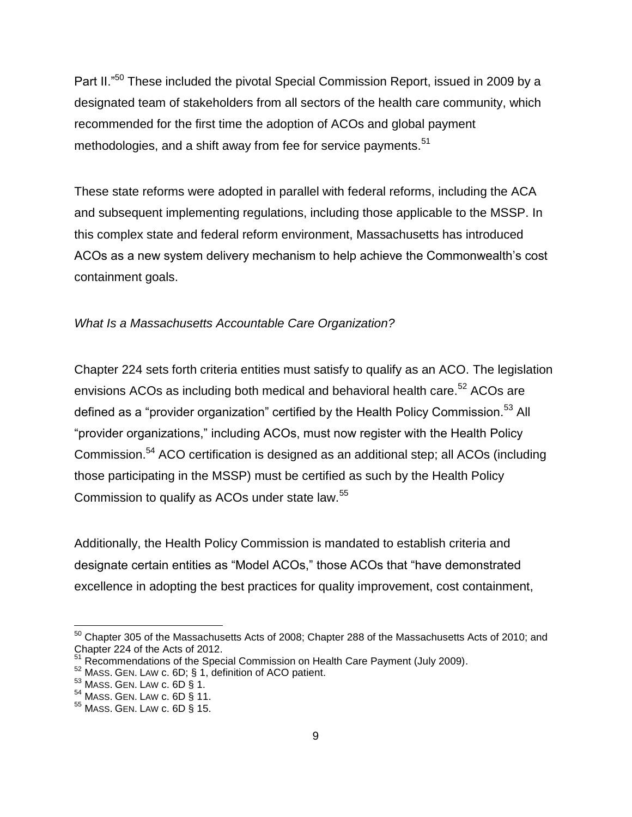Part II."<sup>50</sup> These included the pivotal Special Commission Report, issued in 2009 by a designated team of stakeholders from all sectors of the health care community, which recommended for the first time the adoption of ACOs and global payment methodologies, and a shift away from fee for service payments.<sup>51</sup>

These state reforms were adopted in parallel with federal reforms, including the ACA and subsequent implementing regulations, including those applicable to the MSSP. In this complex state and federal reform environment, Massachusetts has introduced ACOs as a new system delivery mechanism to help achieve the Commonwealth's cost containment goals.

#### *What Is a Massachusetts Accountable Care Organization?*

Chapter 224 sets forth criteria entities must satisfy to qualify as an ACO. The legislation envisions ACOs as including both medical and behavioral health care.<sup>52</sup> ACOs are defined as a "provider organization" certified by the Health Policy Commission.<sup>53</sup> All "provider organizations," including ACOs, must now register with the Health Policy Commission.<sup>54</sup> ACO certification is designed as an additional step; all ACOs (including those participating in the MSSP) must be certified as such by the Health Policy Commission to qualify as ACOs under state law.<sup>55</sup>

Additionally, the Health Policy Commission is mandated to establish criteria and designate certain entities as "Model ACOs," those ACOs that "have demonstrated excellence in adopting the best practices for quality improvement, cost containment,

 $\overline{\phantom{a}}$  $^{50}$  Chapter 305 of the Massachusetts Acts of 2008; Chapter 288 of the Massachusetts Acts of 2010; and Chapter 224 of the Acts of 2012.

Recommendations of the Special Commission on Health Care Payment (July 2009).

<sup>52</sup> MASS. GEN. LAW c. 6D; § 1, definition of ACO patient.

<sup>53</sup> MASS. GEN. LAW c. 6D § 1.

<sup>54</sup> MASS. GEN. LAW c. 6D § 11.

<sup>55</sup> MASS. GEN. LAW c. 6D § 15.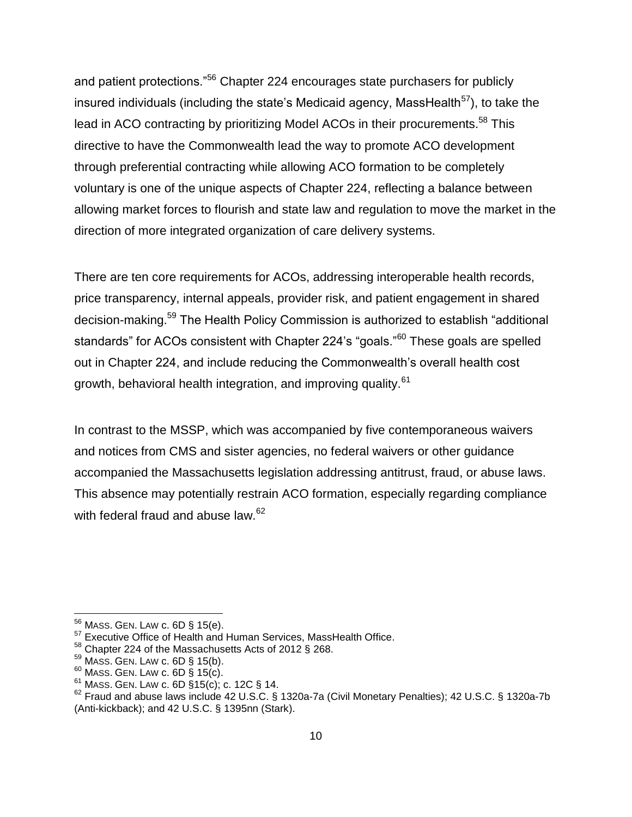and patient protections."<sup>56</sup> Chapter 224 encourages state purchasers for publicly insured individuals (including the state's Medicaid agency, MassHealth $57$ ), to take the lead in ACO contracting by prioritizing Model ACOs in their procurements.<sup>58</sup> This directive to have the Commonwealth lead the way to promote ACO development through preferential contracting while allowing ACO formation to be completely voluntary is one of the unique aspects of Chapter 224, reflecting a balance between allowing market forces to flourish and state law and regulation to move the market in the direction of more integrated organization of care delivery systems.

There are ten core requirements for ACOs, addressing interoperable health records, price transparency, internal appeals, provider risk, and patient engagement in shared decision-making.<sup>59</sup> The Health Policy Commission is authorized to establish "additional standards" for ACOs consistent with Chapter 224's "goals."<sup>60</sup> These goals are spelled out in Chapter 224, and include reducing the Commonwealth's overall health cost growth, behavioral health integration, and improving quality.<sup>61</sup>

In contrast to the MSSP, which was accompanied by five contemporaneous waivers and notices from CMS and sister agencies, no federal waivers or other guidance accompanied the Massachusetts legislation addressing antitrust, fraud, or abuse laws. This absence may potentially restrain ACO formation, especially regarding compliance with federal fraud and abuse law.<sup>62</sup>

 $\overline{a}$ 

 $^{56}$  Mass. Gen. Law c. 6D § 15(e).

 $57$  Executive Office of Health and Human Services, MassHealth Office.

<sup>58</sup> Chapter 224 of the Massachusetts Acts of 2012 § 268.

 $59$  MASS. GEN. LAW c. 6D § 15(b).

 $60$  MASS. GEN. LAW c. 6D  $\overline{\S}$  15(c).

 $61$  MASS. GEN. LAW c. 6D  $\S 15(c)$ ; c. 12C § 14.

<sup>62</sup> Fraud and abuse laws include 42 U.S.C. § 1320a-7a (Civil Monetary Penalties); 42 U.S.C. § 1320a-7b (Anti-kickback); and 42 U.S.C. § 1395nn (Stark).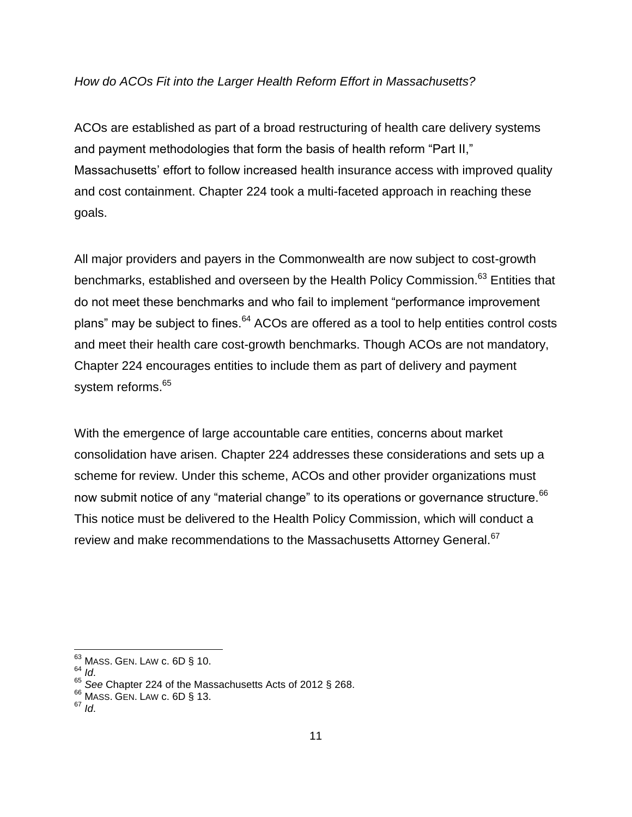#### *How do ACOs Fit into the Larger Health Reform Effort in Massachusetts?*

ACOs are established as part of a broad restructuring of health care delivery systems and payment methodologies that form the basis of health reform "Part II," Massachusetts' effort to follow increased health insurance access with improved quality and cost containment. Chapter 224 took a multi-faceted approach in reaching these goals.

All major providers and payers in the Commonwealth are now subject to cost-growth benchmarks, established and overseen by the Health Policy Commission.<sup>63</sup> Entities that do not meet these benchmarks and who fail to implement "performance improvement plans" may be subject to fines.<sup>64</sup> ACOs are offered as a tool to help entities control costs and meet their health care cost-growth benchmarks. Though ACOs are not mandatory, Chapter 224 encourages entities to include them as part of delivery and payment system reforms.<sup>65</sup>

With the emergence of large accountable care entities, concerns about market consolidation have arisen. Chapter 224 addresses these considerations and sets up a scheme for review. Under this scheme, ACOs and other provider organizations must now submit notice of any "material change" to its operations or governance structure.<sup>66</sup> This notice must be delivered to the Health Policy Commission, which will conduct a review and make recommendations to the Massachusetts Attorney General.<sup>67</sup>

 $63$  MASS. GEN. LAW c. 6D  $\S$  10.

<sup>64</sup> *Id*.

<sup>65</sup> *See* Chapter 224 of the Massachusetts Acts of 2012 § 268.

 $66$  MASS. GEN. LAW c. 6D § 13.

<sup>67</sup> *Id*.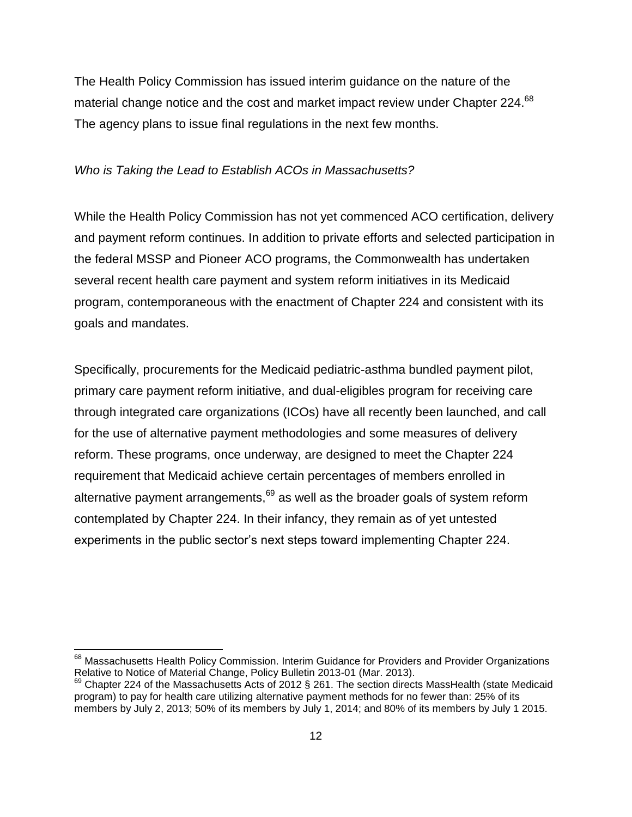The Health Policy Commission has issued interim guidance on the nature of the material change notice and the cost and market impact review under Chapter 224.<sup>68</sup> The agency plans to issue final regulations in the next few months.

#### *Who is Taking the Lead to Establish ACOs in Massachusetts?*

While the Health Policy Commission has not yet commenced ACO certification, delivery and payment reform continues. In addition to private efforts and selected participation in the federal MSSP and Pioneer ACO programs, the Commonwealth has undertaken several recent health care payment and system reform initiatives in its Medicaid program, contemporaneous with the enactment of Chapter 224 and consistent with its goals and mandates.

Specifically, procurements for the Medicaid pediatric-asthma bundled payment pilot, primary care payment reform initiative, and dual-eligibles program for receiving care through integrated care organizations (ICOs) have all recently been launched, and call for the use of alternative payment methodologies and some measures of delivery reform. These programs, once underway, are designed to meet the Chapter 224 requirement that Medicaid achieve certain percentages of members enrolled in alternative payment arrangements, $69$  as well as the broader goals of system reform contemplated by Chapter 224. In their infancy, they remain as of yet untested experiments in the public sector's next steps toward implementing Chapter 224.

 $^{68}$  Massachusetts Health Policy Commission. Interim Guidance for Providers and Provider Organizations Relative to Notice of Material Change, Policy Bulletin 2013-01 (Mar. 2013).

<sup>69</sup> Chapter 224 of the Massachusetts Acts of 2012 § 261. The section directs MassHealth (state Medicaid program) to pay for health care utilizing alternative payment methods for no fewer than: 25% of its members by July 2, 2013; 50% of its members by July 1, 2014; and 80% of its members by July 1 2015.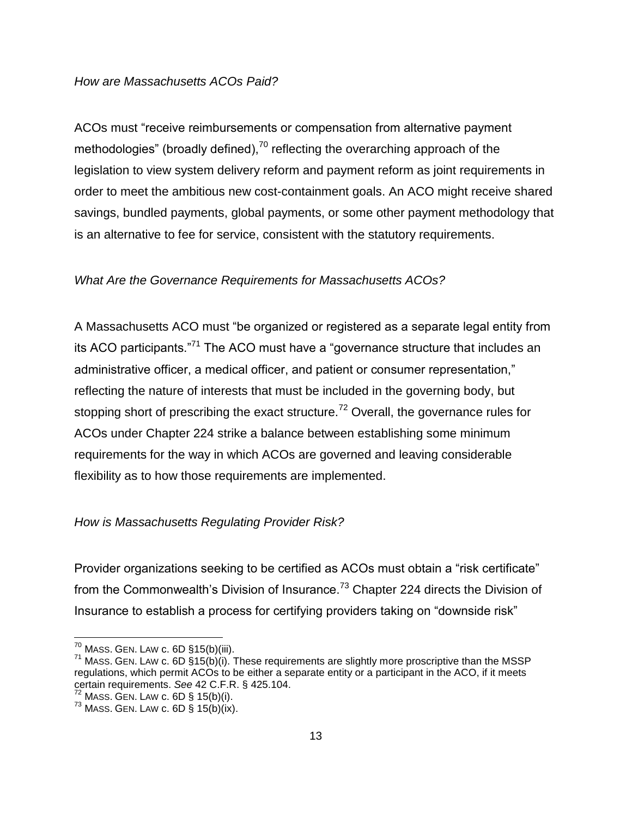#### *How are Massachusetts ACOs Paid?*

ACOs must "receive reimbursements or compensation from alternative payment methodologies" (broadly defined), $^{70}$  reflecting the overarching approach of the legislation to view system delivery reform and payment reform as joint requirements in order to meet the ambitious new cost-containment goals. An ACO might receive shared savings, bundled payments, global payments, or some other payment methodology that is an alternative to fee for service, consistent with the statutory requirements.

#### *What Are the Governance Requirements for Massachusetts ACOs?*

A Massachusetts ACO must "be organized or registered as a separate legal entity from its ACO participants."<sup>71</sup> The ACO must have a "governance structure that includes an administrative officer, a medical officer, and patient or consumer representation," reflecting the nature of interests that must be included in the governing body, but stopping short of prescribing the exact structure.<sup>72</sup> Overall, the governance rules for ACOs under Chapter 224 strike a balance between establishing some minimum requirements for the way in which ACOs are governed and leaving considerable flexibility as to how those requirements are implemented.

#### *How is Massachusetts Regulating Provider Risk?*

Provider organizations seeking to be certified as ACOs must obtain a "risk certificate" from the Commonwealth's Division of Insurance.<sup>73</sup> Chapter 224 directs the Division of Insurance to establish a process for certifying providers taking on "downside risk"

 $\overline{\phantom{a}}$ 

 $^{70}$  MASS. GEN. LAW c. 6D §15(b)(iii).

 $71$  MASS. GEN. LAW c. 6D §15(b)(i). These requirements are slightly more proscriptive than the MSSP regulations, which permit ACOs to be either a separate entity or a participant in the ACO, if it meets certain requirements. *See* 42 C.F.R. § 425.104.

 $72$  MASS. GEN. LAW c. 6D § 15(b)(i).

 $^{73}$  MASS. GEN. LAW c. 6D § 15(b)(ix).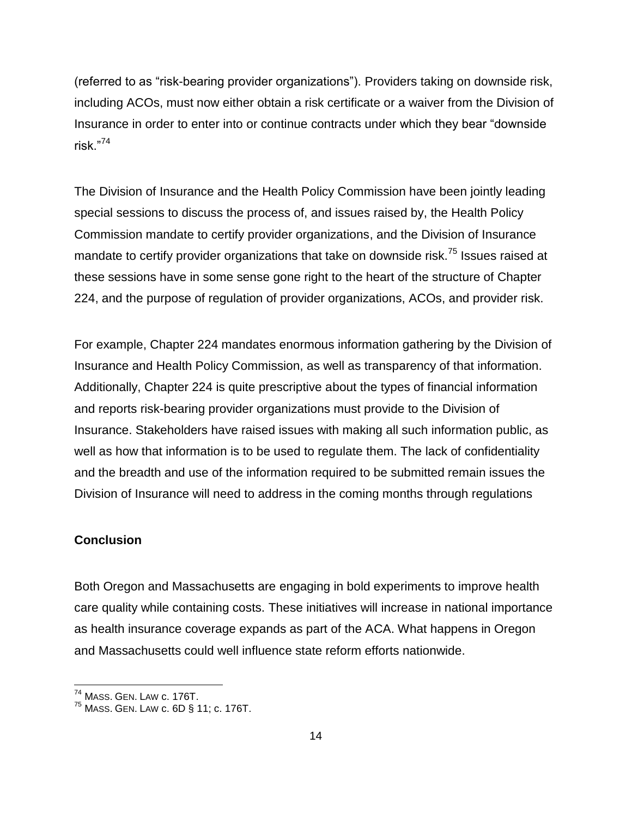(referred to as "risk-bearing provider organizations"). Providers taking on downside risk, including ACOs, must now either obtain a risk certificate or a waiver from the Division of Insurance in order to enter into or continue contracts under which they bear "downside risk."<sup>74</sup>

The Division of Insurance and the Health Policy Commission have been jointly leading special sessions to discuss the process of, and issues raised by, the Health Policy Commission mandate to certify provider organizations, and the Division of Insurance mandate to certify provider organizations that take on downside risk.<sup>75</sup> Issues raised at these sessions have in some sense gone right to the heart of the structure of Chapter 224, and the purpose of regulation of provider organizations, ACOs, and provider risk.

For example, Chapter 224 mandates enormous information gathering by the Division of Insurance and Health Policy Commission, as well as transparency of that information. Additionally, Chapter 224 is quite prescriptive about the types of financial information and reports risk-bearing provider organizations must provide to the Division of Insurance. Stakeholders have raised issues with making all such information public, as well as how that information is to be used to regulate them. The lack of confidentiality and the breadth and use of the information required to be submitted remain issues the Division of Insurance will need to address in the coming months through regulations

#### **Conclusion**

l

Both Oregon and Massachusetts are engaging in bold experiments to improve health care quality while containing costs. These initiatives will increase in national importance as health insurance coverage expands as part of the ACA. What happens in Oregon and Massachusetts could well influence state reform efforts nationwide.

 $^{74}$  Mass. Gen. Law c. 176T.

 $^{75}$  Mass. Gen. Law c. 6D § 11; c. 176T.